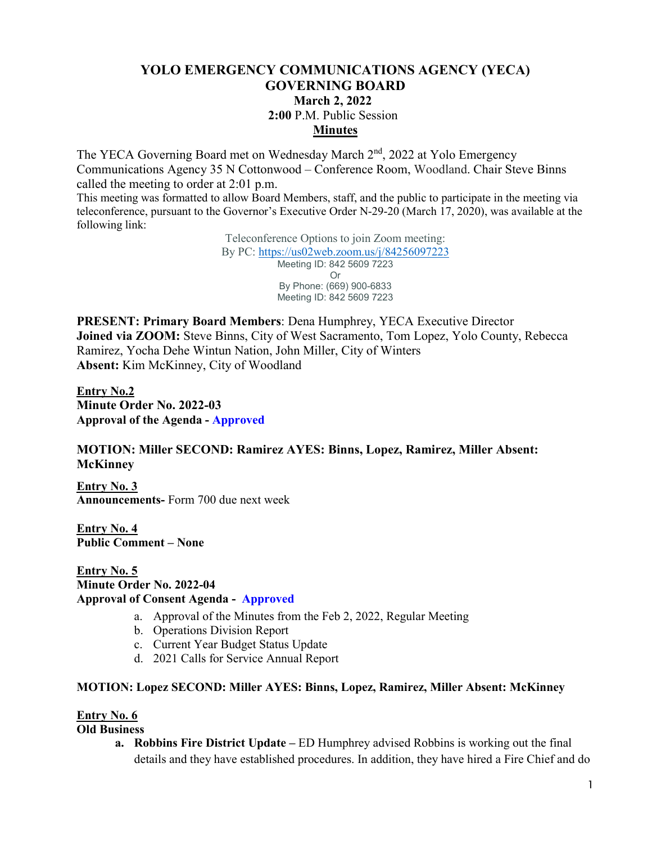# **YOLO EMERGENCY COMMUNICATIONS AGENCY (YECA) GOVERNING BOARD March 2, 2022 2:00** P.M. Public Session **Minutes**

The YECA Governing Board met on Wednesday March 2<sup>nd</sup>, 2022 at Yolo Emergency Communications Agency 35 N Cottonwood – Conference Room, Woodland. Chair Steve Binns called the meeting to order at 2:01 p.m.

This meeting was formatted to allow Board Members, staff, and the public to participate in the meeting via teleconference, pursuant to the Governor's Executive Order N-29-20 (March 17, 2020), was available at the following link:

> Teleconference Options to join Zoom meeting: By PC:<https://us02web.zoom.us/j/84256097223> Meeting ID: 842 5609 7223 Or By Phone: (669) 900-6833 Meeting ID: 842 5609 7223

**PRESENT: Primary Board Members**: Dena Humphrey, YECA Executive Director **Joined via ZOOM:** Steve Binns, City of West Sacramento, Tom Lopez, Yolo County, Rebecca Ramirez, Yocha Dehe Wintun Nation, John Miller, City of Winters **Absent:** Kim McKinney, City of Woodland

**Entry No.2 Minute Order No. 2022-03 Approval of the Agenda - Approved** 

## **MOTION: Miller SECOND: Ramirez AYES: Binns, Lopez, Ramirez, Miller Absent: McKinney**

**Entry No. 3 Announcements-** Form 700 due next week

**Entry No. 4 Public Comment – None**

**Entry No. 5 Minute Order No. 2022-04 Approval of Consent Agenda - Approved**

- a. Approval of the Minutes from the Feb 2, 2022, Regular Meeting
- b. Operations Division Report
- c. Current Year Budget Status Update
- d. 2021 Calls for Service Annual Report

### **MOTION: Lopez SECOND: Miller AYES: Binns, Lopez, Ramirez, Miller Absent: McKinney**

### **Entry No. 6**

**Old Business**

**a. Robbins Fire District Update –** ED Humphrey advised Robbins is working out the final details and they have established procedures. In addition, they have hired a Fire Chief and do